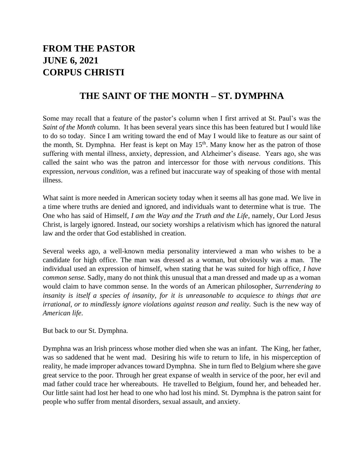## **FROM THE PASTOR JUNE 6, 2021 CORPUS CHRISTI**

## **THE SAINT OF THE MONTH – ST. DYMPHNA**

Some may recall that a feature of the pastor's column when I first arrived at St. Paul's was the *Saint of the Month* column. It has been several years since this has been featured but I would like to do so today. Since I am writing toward the end of May I would like to feature as our saint of the month, St. Dymphna. Her feast is kept on May 15<sup>th</sup>. Many know her as the patron of those suffering with mental illness, anxiety, depression, and Alzheimer's disease. Years ago, she was called the saint who was the patron and intercessor for those with *nervous conditions*. This expression, *nervous condition,* was a refined but inaccurate way of speaking of those with mental illness.

What saint is more needed in American society today when it seems all has gone mad. We live in a time where truths are denied and ignored, and individuals want to determine what is true. The One who has said of Himself, *I am the Way and the Truth and the Life*, namely, Our Lord Jesus Christ, is largely ignored. Instead, our society worships a relativism which has ignored the natural law and the order that God established in creation.

Several weeks ago, a well-known media personality interviewed a man who wishes to be a candidate for high office. The man was dressed as a woman, but obviously was a man. The individual used an expression of himself, when stating that he was suited for high office, *I have common sense.* Sadly, many do not think this unusual that a man dressed and made up as a woman would claim to have common sense. In the words of an American philosopher, *Surrendering to insanity is itself a species of insanity, for it is unreasonable to acquiesce to things that are irrational, or to mindlessly ignore violations against reason and reality. Such is the new way of American life*.

But back to our St. Dymphna.

Dymphna was an Irish princess whose mother died when she was an infant. The King, her father, was so saddened that he went mad. Desiring his wife to return to life, in his misperception of reality, he made improper advances toward Dymphna. She in turn fled to Belgium where she gave great service to the poor. Through her great expanse of wealth in service of the poor, her evil and mad father could trace her whereabouts. He travelled to Belgium, found her, and beheaded her. Our little saint had lost her head to one who had lost his mind. St. Dymphna is the patron saint for people who suffer from mental disorders, sexual assault, and anxiety.